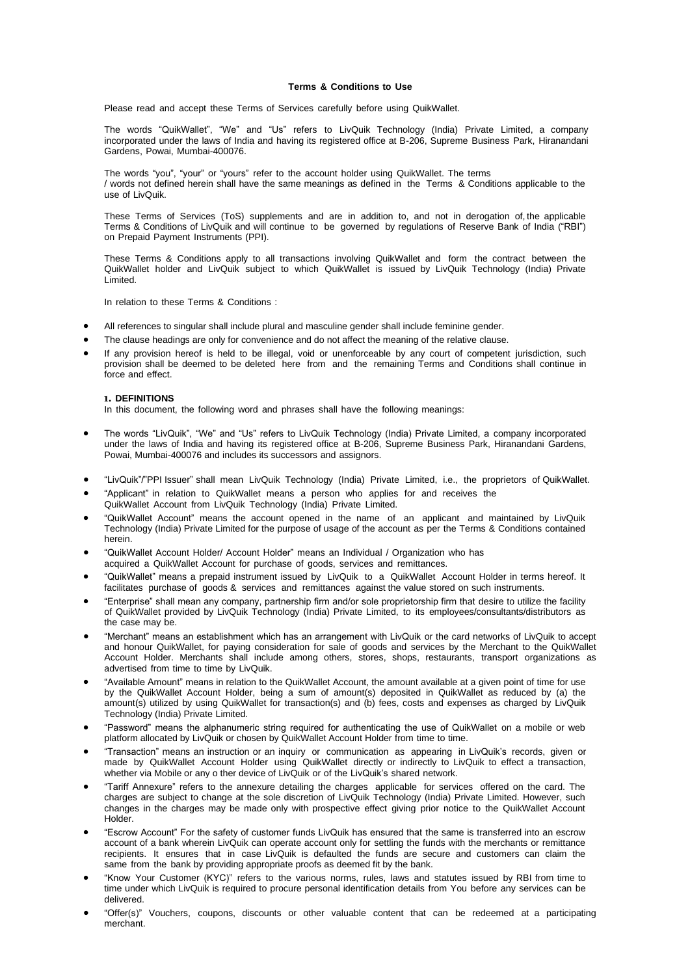## **Terms & Conditions to Use**

Please read and accept these Terms of Services carefully before using QuikWallet.

The words "QuikWallet", "We" and "Us" refers to LivQuik Technology (India) Private Limited, a company incorporated under the laws of India and having its registered office at B-206, Supreme Business Park, Hiranandani Gardens, Powai, Mumbai-400076.

The words "you", "your" or "yours" refer to the account holder using QuikWallet. The terms / words not defined herein shall have the same meanings as defined in the Terms & Conditions applicable to the use of LivQuik.

These Terms of Services (ToS) supplements and are in addition to, and not in derogation of, the applicable Terms & Conditions of LivQuik and will continue to be governed by regulations of Reserve Bank of India ("RBI") on Prepaid Payment Instruments (PPI).

These Terms & Conditions apply to all transactions involving QuikWallet and form the contract between the QuikWallet holder and LivQuik subject to which QuikWallet is issued by LivQuik Technology (India) Private Limited.

In relation to these Terms & Conditions :

- All references to singular shall include plural and masculine gender shall include feminine gender.
- The clause headings are only for convenience and do not affect the meaning of the relative clause.
- If any provision hereof is held to be illegal, void or unenforceable by any court of competent jurisdiction, such provision shall be deemed to be deleted here from and the remaining Terms and Conditions shall continue in force and effect.

#### **1. DEFINITIONS**

In this document, the following word and phrases shall have the following meanings:

- The words "LivQuik", "We" and "Us" refers to LivQuik Technology (India) Private Limited, a company incorporated under the laws of India and having its registered office at B-206, Supreme Business Park, Hiranandani Gardens, Powai, Mumbai-400076 and includes its successors and assignors.
- "LivQuik"/"PPI Issuer" shall mean LivQuik Technology (India) Private Limited, i.e., the proprietors of QuikWallet.
- "Applicant" in relation to QuikWallet means a person who applies for and receives the
- QuikWallet Account from LivQuik Technology (India) Private Limited.
- "QuikWallet Account" means the account opened in the name of an applicant and maintained by LivQuik Technology (India) Private Limited for the purpose of usage of the account as per the Terms & Conditions contained herein.
- "QuikWallet Account Holder/ Account Holder" means an Individual / Organization who has acquired a QuikWallet Account for purchase of goods, services and remittances.
- "QuikWallet" means a prepaid instrument issued by LivQuik to a QuikWallet Account Holder in terms hereof. It facilitates purchase of goods & services and remittances against the value stored on such instruments.
- "Enterprise" shall mean any company, partnership firm and/or sole proprietorship firm that desire to utilize the facility of QuikWallet provided by LivQuik Technology (India) Private Limited, to its employees/consultants/distributors as the case may be.
- "Merchant" means an establishment which has an arrangement with LivQuik or the card networks of LivQuik to accept and honour QuikWallet, for paying consideration for sale of goods and services by the Merchant to the QuikWallet Account Holder. Merchants shall include among others, stores, shops, restaurants, transport organizations as advertised from time to time by LivQuik.
- "Available Amount" means in relation to the QuikWallet Account, the amount available at a given point of time for use by the QuikWallet Account Holder, being a sum of amount(s) deposited in QuikWallet as reduced by (a) the amount(s) utilized by using QuikWallet for transaction(s) and (b) fees, costs and expenses as charged by LivQuik Technology (India) Private Limited.
- "Password" means the alphanumeric string required for authenticating the use of QuikWallet on a mobile or web platform allocated by LivQuik or chosen by QuikWallet Account Holder from time to time.
- "Transaction" means an instruction or an inquiry or communication as appearing in LivQuik's records, given or made by QuikWallet Account Holder using QuikWallet directly or indirectly to LivQuik to effect a transaction, whether via Mobile or any o ther device of LivQuik or of the LivQuik's shared network.
- "Tariff Annexure" refers to the annexure detailing the charges applicable for services offered on the card. The charges are subject to change at the sole discretion of LivQuik Technology (India) Private Limited. However, such changes in the charges may be made only with prospective effect giving prior notice to the QuikWallet Account Holder.
- "Escrow Account" For the safety of customer funds LivQuik has ensured that the same is transferred into an escrow account of a bank wherein LivQuik can operate account only for settling the funds with the merchants or remittance recipients. It ensures that in case LivQuik is defaulted the funds are secure and customers can claim the same from the bank by providing appropriate proofs as deemed fit by the bank.
- "Know Your Customer (KYC)" refers to the various norms, rules, laws and statutes issued by RBI from time to time under which LivQuik is required to procure personal identification details from You before any services can be delivered.
- "Offer(s)" Vouchers, coupons, discounts or other valuable content that can be redeemed at a participating merchant.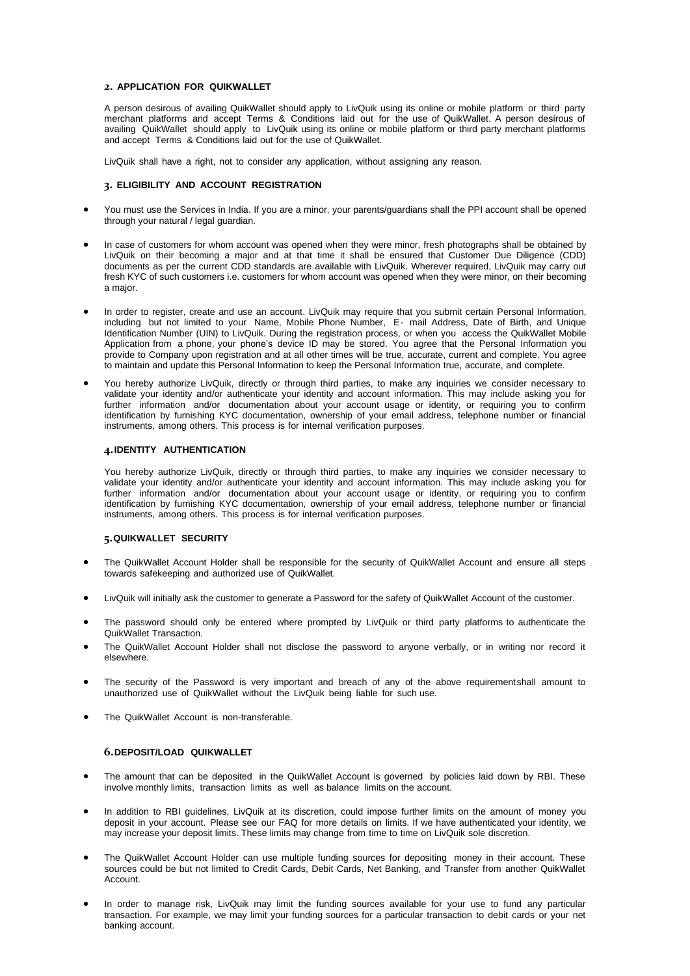# **2. APPLICATION FOR QUIKWALLET**

A person desirous of availing QuikWallet should apply to LivQuik using its online or mobile platform or third party merchant platforms and accept Terms & Conditions laid out for the use of QuikWallet. A person desirous of availing QuikWallet should apply to LivQuik using its online or mobile platform or third party merchant platforms and accept Terms & Conditions laid out for the use of QuikWallet.

LivQuik shall have a right, not to consider any application, without assigning any reason.

## **3. ELIGIBILITY AND ACCOUNT REGISTRATION**

- You must use the Services in India. If you are a minor, your parents/guardians shall the PPI account shall be opened through your natural / legal guardian.
- In case of customers for whom account was opened when they were minor, fresh photographs shall be obtained by LivQuik on their becoming a major and at that time it shall be ensured that Customer Due Diligence (CDD) documents as per the current CDD standards are available with LivQuik. Wherever required, LivQuik may carry out fresh KYC of such customers i.e. customers for whom account was opened when they were minor, on their becoming a major.
- In order to register, create and use an account, LivQuik may require that you submit certain Personal Information, including but not limited to your Name, Mobile Phone Number, E- mail Address, Date of Birth, and Unique Identification Number (UIN) to LivQuik. During the registration process, or when you access the QuikWallet Mobile Application from a phone, your phone's device ID may be stored. You agree that the Personal Information you provide to Company upon registration and at all other times will be true, accurate, current and complete. You agree to maintain and update this Personal Information to keep the Personal Information true, accurate, and complete.
- You hereby authorize LivQuik, directly or through third parties, to make any inquiries we consider necessary to validate your identity and/or authenticate your identity and account information. This may include asking you for further information and/or documentation about your account usage or identity, or requiring you to confirm identification by furnishing KYC documentation, ownership of your email address, telephone number or financial instruments, among others. This process is for internal verification purposes.

## **4.IDENTITY AUTHENTICATION**

You hereby authorize LivQuik, directly or through third parties, to make any inquiries we consider necessary to validate your identity and/or authenticate your identity and account information. This may include asking you for further information and/or documentation about your account usage or identity, or requiring you to confirm identification by furnishing KYC documentation, ownership of your email address, telephone number or financial instruments, among others. This process is for internal verification purposes.

## **5.QUIKWALLET SECURITY**

- The QuikWallet Account Holder shall be responsible for the security of QuikWallet Account and ensure all steps towards safekeeping and authorized use of QuikWallet.
- LivQuik will initially ask the customer to generate a Password for the safety of QuikWallet Account of the customer.
- The password should only be entered where prompted by LivQuik or third party platforms to authenticate the QuikWallet Transaction.
- The QuikWallet Account Holder shall not disclose the password to anyone verbally, or in writing nor record it elsewhere.
- The security of the Password is very important and breach of any of the above requirementshall amount to unauthorized use of QuikWallet without the LivQuik being liable for such use.
- The QuikWallet Account is non-transferable.

### **6.DEPOSIT/LOAD QUIKWALLET**

- The amount that can be deposited in the QuikWallet Account is governed by policies laid down by RBI. These involve monthly limits, transaction limits as well as balance limits on the account.
- In addition to RBI guidelines, LivQuik at its discretion, could impose further limits on the amount of money you deposit in your account. Please see our FAQ for more details on limits. If we have authenticated your identity, we may increase your deposit limits. These limits may change from time to time on LivQuik sole discretion.
- The QuikWallet Account Holder can use multiple funding sources for depositing money in their account. These sources could be but not limited to Credit Cards, Debit Cards, Net Banking, and Transfer from another QuikWallet Account.
- In order to manage risk, LivQuik may limit the funding sources available for your use to fund any particular transaction. For example, we may limit your funding sources for a particular transaction to debit cards or your net banking account.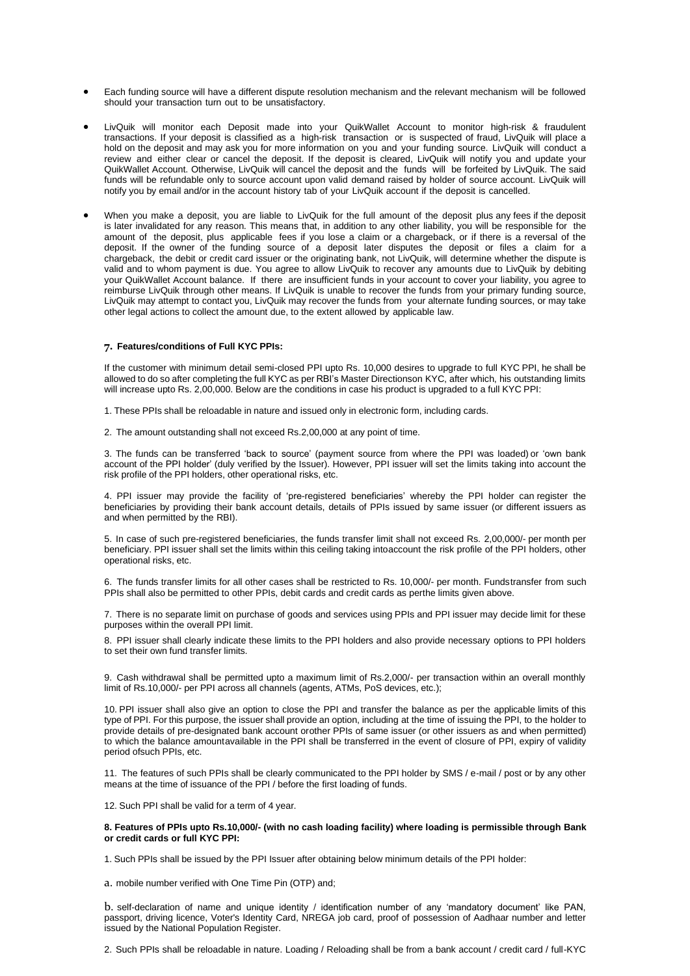- Each funding source will have a different dispute resolution mechanism and the relevant mechanism will be followed should your transaction turn out to be unsatisfactory.
- LivQuik will monitor each Deposit made into your QuikWallet Account to monitor high-risk & fraudulent transactions. If your deposit is classified as a high-risk transaction or is suspected of fraud, LivQuik will place a hold on the deposit and may ask you for more information on you and your funding source. LivQuik will conduct a review and either clear or cancel the deposit. If the deposit is cleared, LivQuik will notify you and update your QuikWallet Account. Otherwise, LivQuik will cancel the deposit and the funds will be forfeited by LivQuik. The said funds will be refundable only to source account upon valid demand raised by holder of source account. LivQuik will notify you by email and/or in the account history tab of your LivQuik account if the deposit is cancelled.
- When you make a deposit, you are liable to LivQuik for the full amount of the deposit plus any fees if the deposit is later invalidated for any reason. This means that, in addition to any other liability, you will be responsible for the amount of the deposit, plus applicable fees if you lose a claim or a chargeback, or if there is a reversal of the deposit. If the owner of the funding source of a deposit later disputes the deposit or files a claim for a chargeback, the debit or credit card issuer or the originating bank, not LivQuik, will determine whether the dispute is valid and to whom payment is due. You agree to allow LivQuik to recover any amounts due to LivQuik by debiting your QuikWallet Account balance. If there are insufficient funds in your account to cover your liability, you agree to reimburse LivQuik through other means. If LivQuik is unable to recover the funds from your primary funding source, LivQuik may attempt to contact you, LivQuik may recover the funds from your alternate funding sources, or may take other legal actions to collect the amount due, to the extent allowed by applicable law.

#### **7. Features/conditions of Full KYC PPIs:**

If the customer with minimum detail semi-closed PPI upto Rs. 10,000 desires to upgrade to full KYC PPI, he shall be allowed to do so after completing the full KYC as per RBI's Master Directionson KYC, after which, his outstanding limits will increase upto Rs. 2,00,000. Below are the conditions in case his product is upgraded to a full KYC PPI:

- 1. These PPIs shall be reloadable in nature and issued only in electronic form, including cards.
- 2. The amount outstanding shall not exceed Rs.2,00,000 at any point of time.

3. The funds can be transferred 'back to source' (payment source from where the PPI was loaded) or 'own bank account of the PPI holder' (duly verified by the Issuer). However, PPI issuer will set the limits taking into account the risk profile of the PPI holders, other operational risks, etc.

4. PPI issuer may provide the facility of 'pre-registered beneficiaries' whereby the PPI holder can register the beneficiaries by providing their bank account details, details of PPIs issued by same issuer (or different issuers as and when permitted by the RBI).

5. In case of such pre-registered beneficiaries, the funds transfer limit shall not exceed Rs. 2,00,000/- per month per beneficiary. PPI issuer shall set the limits within this ceiling taking intoaccount the risk profile of the PPI holders, other operational risks, etc.

6. The funds transfer limits for all other cases shall be restricted to Rs. 10,000/- per month. Fundstransfer from such PPIs shall also be permitted to other PPIs, debit cards and credit cards as perthe limits given above.

7. There is no separate limit on purchase of goods and services using PPIs and PPI issuer may decide limit for these purposes within the overall PPI limit.

8. PPI issuer shall clearly indicate these limits to the PPI holders and also provide necessary options to PPI holders to set their own fund transfer limits.

9. Cash withdrawal shall be permitted upto a maximum limit of Rs.2,000/- per transaction within an overall monthly limit of Rs.10,000/- per PPI across all channels (agents, ATMs, PoS devices, etc.);

10. PPI issuer shall also give an option to close the PPI and transfer the balance as per the applicable limits of this type of PPI. For this purpose, the issuer shall provide an option, including at the time of issuing the PPI, to the holder to provide details of pre-designated bank account orother PPIs of same issuer (or other issuers as and when permitted) to which the balance amountavailable in the PPI shall be transferred in the event of closure of PPI, expiry of validity period ofsuch PPIs, etc.

11. The features of such PPIs shall be clearly communicated to the PPI holder by SMS / e-mail / post or by any other means at the time of issuance of the PPI / before the first loading of funds.

12. Such PPI shall be valid for a term of 4 year.

#### **8. Features of PPIs upto Rs.10,000/- (with no cash loading facility) where loading is permissible through Bank or credit cards or full KYC PPI:**

1. Such PPIs shall be issued by the PPI Issuer after obtaining below minimum details of the PPI holder:

a. mobile number verified with One Time Pin (OTP) and;

b. self-declaration of name and unique identity / identification number of any 'mandatory document' like PAN, passport, driving licence, Voter's Identity Card, NREGA job card, proof of possession of Aadhaar number and letter issued by the National Population Register.

2. Such PPIs shall be reloadable in nature. Loading / Reloading shall be from a bank account / credit card / full-KYC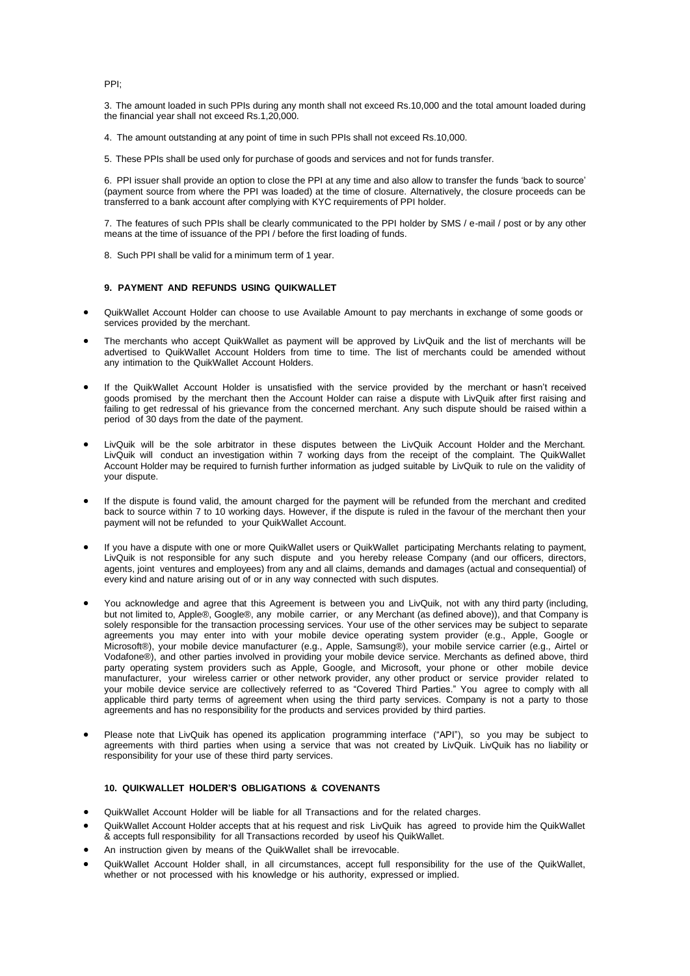PPI;

3. The amount loaded in such PPIs during any month shall not exceed Rs.10,000 and the total amount loaded during the financial year shall not exceed Rs.1,20,000.

- 4. The amount outstanding at any point of time in such PPIs shall not exceed Rs.10,000.
- 5. These PPIs shall be used only for purchase of goods and services and not for funds transfer.

6. PPI issuer shall provide an option to close the PPI at any time and also allow to transfer the funds 'back to source' (payment source from where the PPI was loaded) at the time of closure. Alternatively, the closure proceeds can be transferred to a bank account after complying with KYC requirements of PPI holder.

7. The features of such PPIs shall be clearly communicated to the PPI holder by SMS / e-mail / post or by any other means at the time of issuance of the PPI / before the first loading of funds.

8. Such PPI shall be valid for a minimum term of 1 year.

## **9. PAYMENT AND REFUNDS USING QUIKWALLET**

- QuikWallet Account Holder can choose to use Available Amount to pay merchants in exchange of some goods or services provided by the merchant.
- The merchants who accept QuikWallet as payment will be approved by LivQuik and the list of merchants will be advertised to QuikWallet Account Holders from time to time. The list of merchants could be amended without any intimation to the QuikWallet Account Holders.
- If the QuikWallet Account Holder is unsatisfied with the service provided by the merchant or hasn't received goods promised by the merchant then the Account Holder can raise a dispute with LivQuik after first raising and failing to get redressal of his grievance from the concerned merchant. Any such dispute should be raised within a period of 30 days from the date of the payment.
- LivQuik will be the sole arbitrator in these disputes between the LivQuik Account Holder and the Merchant. LivQuik will conduct an investigation within 7 working days from the receipt of the complaint. The QuikWallet Account Holder may be required to furnish further information as judged suitable by LivQuik to rule on the validity of your dispute.
- If the dispute is found valid, the amount charged for the payment will be refunded from the merchant and credited back to source within 7 to 10 working days. However, if the dispute is ruled in the favour of the merchant then your payment will not be refunded to your QuikWallet Account.
- If you have a dispute with one or more QuikWallet users or QuikWallet participating Merchants relating to payment, LivQuik is not responsible for any such dispute and you hereby release Company (and our officers, directors, agents, joint ventures and employees) from any and all claims, demands and damages (actual and consequential) of every kind and nature arising out of or in any way connected with such disputes.
- You acknowledge and agree that this Agreement is between you and LivQuik, not with any third party (including, but not limited to, Apple®, Google®, any mobile carrier, or any Merchant (as defined above)), and that Company is solely responsible for the transaction processing services. Your use of the other services may be subject to separate agreements you may enter into with your mobile device operating system provider (e.g., Apple, Google or Microsoft®), your mobile device manufacturer (e.g., Apple, Samsung®), your mobile service carrier (e.g., Airtel or Vodafone®), and other parties involved in providing your mobile device service. Merchants as defined above, third party operating system providers such as Apple, Google, and Microsoft, your phone or other mobile device manufacturer, your wireless carrier or other network provider, any other product or service provider related to your mobile device service are collectively referred to as "Covered Third Parties." You agree to comply with all applicable third party terms of agreement when using the third party services. Company is not a party to those agreements and has no responsibility for the products and services provided by third parties.
- Please note that LivQuik has opened its application programming interface ("API"), so you may be subject to agreements with third parties when using a service that was not created by LivQuik. LivQuik has no liability or responsibility for your use of these third party services.

## **10. QUIKWALLET HOLDER'S OBLIGATIONS & COVENANTS**

- QuikWallet Account Holder will be liable for all Transactions and for the related charges.
- QuikWallet Account Holder accepts that at his request and risk LivQuik has agreed to provide him the QuikWallet & accepts full responsibility for all Transactions recorded by useof his QuikWallet.
- An instruction given by means of the QuikWallet shall be irrevocable.
- QuikWallet Account Holder shall, in all circumstances, accept full responsibility for the use of the QuikWallet, whether or not processed with his knowledge or his authority, expressed or implied.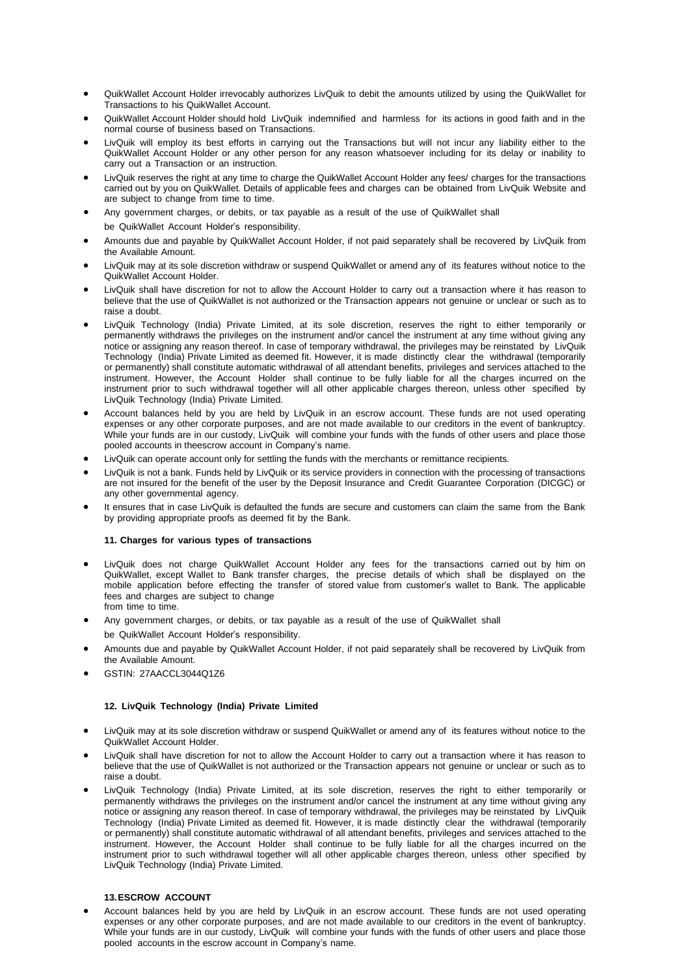- QuikWallet Account Holder irrevocably authorizes LivQuik to debit the amounts utilized by using the QuikWallet for Transactions to his QuikWallet Account.
- QuikWallet Account Holder should hold LivQuik indemnified and harmless for its actions in good faith and in the normal course of business based on Transactions.
- LivQuik will employ its best efforts in carrying out the Transactions but will not incur any liability either to the QuikWallet Account Holder or any other person for any reason whatsoever including for its delay or inability to carry out a Transaction or an instruction.
- LivQuik reserves the right at any time to charge the QuikWallet Account Holder any fees/ charges for the transactions carried out by you on QuikWallet. Details of applicable fees and charges can be obtained from LivQuik Website and are subject to change from time to time.
- Any government charges, or debits, or tax payable as a result of the use of QuikWallet shall be QuikWallet Account Holder's responsibility.
- Amounts due and payable by QuikWallet Account Holder, if not paid separately shall be recovered by LivQuik from the Available Amount.
- LivQuik may at its sole discretion withdraw or suspend QuikWallet or amend any of its features without notice to the QuikWallet Account Holder.
- LivQuik shall have discretion for not to allow the Account Holder to carry out a transaction where it has reason to believe that the use of QuikWallet is not authorized or the Transaction appears not genuine or unclear or such as to raise a doubt.
- LivQuik Technology (India) Private Limited, at its sole discretion, reserves the right to either temporarily or permanently withdraws the privileges on the instrument and/or cancel the instrument at any time without giving any notice or assigning any reason thereof. In case of temporary withdrawal, the privileges may be reinstated by LivQuik Technology (India) Private Limited as deemed fit. However, it is made distinctly clear the withdrawal (temporarily or permanently) shall constitute automatic withdrawal of all attendant benefits, privileges and services attached to the instrument. However, the Account Holder shall continue to be fully liable for all the charges incurred on the instrument prior to such withdrawal together will all other applicable charges thereon, unless other specified by LivQuik Technology (India) Private Limited.
- Account balances held by you are held by LivQuik in an escrow account. These funds are not used operating expenses or any other corporate purposes, and are not made available to our creditors in the event of bankruptcy. While your funds are in our custody, LivQuik will combine your funds with the funds of other users and place those pooled accounts in theescrow account in Company's name.
- LivQuik can operate account only for settling the funds with the merchants or remittance recipients.
- LivQuik is not a bank. Funds held by LivQuik or its service providers in connection with the processing of transactions are not insured for the benefit of the user by the Deposit Insurance and Credit Guarantee Corporation (DICGC) or any other governmental agency.
- It ensures that in case LivQuik is defaulted the funds are secure and customers can claim the same from the Bank by providing appropriate proofs as deemed fit by the Bank.

# **11. Charges for various types of transactions**

- LivQuik does not charge QuikWallet Account Holder any fees for the transactions carried out by him on QuikWallet, except Wallet to Bank transfer charges, the precise details of which shall be displayed on the mobile application before effecting the transfer of stored value from customer's wallet to Bank. The applicable fees and charges are subject to change from time to time.
- Any government charges, or debits, or tax payable as a result of the use of QuikWallet shall be QuikWallet Account Holder's responsibility.
- Amounts due and payable by QuikWallet Account Holder, if not paid separately shall be recovered by LivQuik from the Available Amount.
- GSTIN: 27AACCL3044Q1Z6

## **12. LivQuik Technology (India) Private Limited**

- LivQuik may at its sole discretion withdraw or suspend QuikWallet or amend any of its features without notice to the QuikWallet Account Holder.
- LivQuik shall have discretion for not to allow the Account Holder to carry out a transaction where it has reason to believe that the use of QuikWallet is not authorized or the Transaction appears not genuine or unclear or such as to raise a doubt.
- LivQuik Technology (India) Private Limited, at its sole discretion, reserves the right to either temporarily or permanently withdraws the privileges on the instrument and/or cancel the instrument at any time without giving any notice or assigning any reason thereof. In case of temporary withdrawal, the privileges may be reinstated by LivQuik Technology (India) Private Limited as deemed fit. However, it is made distinctly clear the withdrawal (temporarily or permanently) shall constitute automatic withdrawal of all attendant benefits, privileges and services attached to the instrument. However, the Account Holder shall continue to be fully liable for all the charges incurred on the instrument prior to such withdrawal together will all other applicable charges thereon, unless other specified by LivQuik Technology (India) Private Limited.

# **13.ESCROW ACCOUNT**

• Account balances held by you are held by LivQuik in an escrow account. These funds are not used operating expenses or any other corporate purposes, and are not made available to our creditors in the event of bankruptcy. While your funds are in our custody, LivQuik will combine your funds with the funds of other users and place those pooled accounts in the escrow account in Company's name.